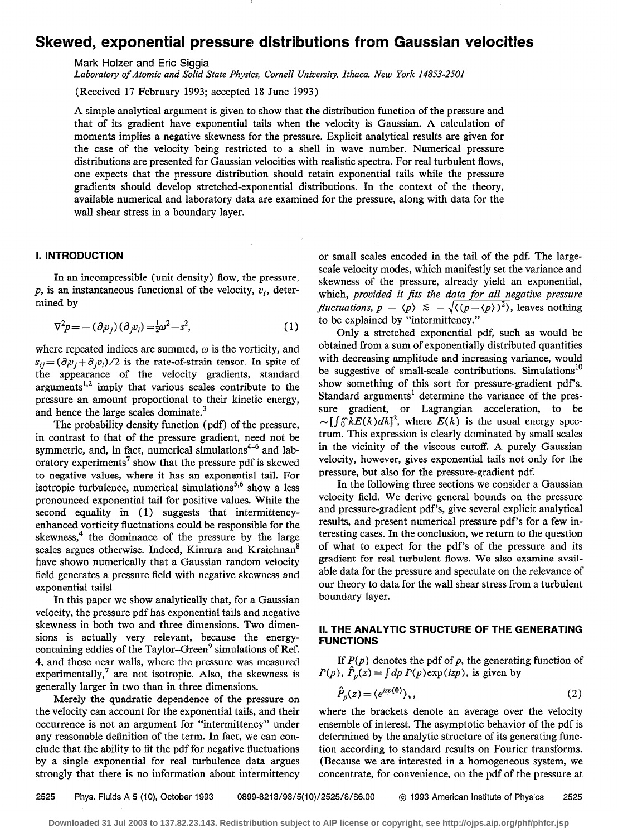# Skewed, exponential pressure distributions from Gaussian velocities

Mark Holzer and Eric Siggia

Laboratory of Atomic and Solid State Physics, Cornell University, Ithaca, New York 14853-2501

(Received 17 February 1993; accepted 18 June 1993)

A simple analytical argument is given to show that the distribution function of the pressure and that of its gradient have exponential tails when the velocity is Gaussian. A calculation of moments implies a negative skewness for the pressure. Explicit analytical results are given for the case of the velocity being restricted to a shell in wave number. Numerical pressure distributions are presented for Gaussian velocities with realistic spectra. For real turbulent flows, one expects that the pressure distribution should retain exponential tails while the pressure gradients should develop stretched-exponential distributions. In the context of the theory, available numerical and laboratory data are examined for the pressure, along with data for the wall shear stress in a boundary layer.

# I. INTRODUCTION

In an incompressible (unit density) flow, the pressure,  $p$ , is an instantaneous functional of the velocity,  $v_i$ , determined by

$$
\nabla^2 p = -\left(\partial_i v_j\right)\left(\partial_j v_i\right) = \frac{1}{2}\omega^2 - s^2,\tag{1}
$$

where repeated indices are summed,  $\omega$  is the vorticity, and  $s_{ij} = (\partial_i v_j + \partial_j v_j)/2$  is the rate-of-strain tensor. In spite of the appearance of the velocity gradients, standard arguments<sup>1,2</sup> imply that various scales contribute to the pressure an amount proportional to their kinetic energy, and hence the large scales dominate.<sup>3</sup>

The probability density function (pdf) of the pressure, in contrast to that of the pressure gradient, need not be symmetric, and, in fact, numerical simulations $4-6$  and laboratory experiments<sup>7</sup> show that the pressure pdf is skewed to negative values, where it has an exponential tail. For isotropic turbulence, numerical simulations<sup>5,6</sup> show a less pronounced exponential tail for positive values. While the second equality in (1) suggests that intermittencyenhanced vorticity fluctuations could be responsible for the skewness, $4$  the dominance of the pressure by the large scales argues otherwise. Indeed, Kimura and Kraichnan' have shown numerically that a Gaussian random velocity field generates a pressure field with negative skewness and exponential tails!

In this paper we show analytically that, for a Gaussian velocity, the pressure pdf has exponential tails and negative skewness in both two and three dimensions. Two dimensions is actually very relevant, because the energycontaining eddies of the Taylor-Green<sup>9</sup> simulations of Ref. 4, and those near walls, where the pressure was measured experimentally,<sup>7</sup> are not isotropic. Also, the skewness is generally larger in two than in three dimensions.

Merely the quadratic dependence of the pressure on the velocity can account for the exponential tails, and their occurrence is not an argument for "intermittency" under any reasonable definition of the term. In fact, we can conclude that the ability to fit the pdf for negative fluctuations by a single exponential for real turbulence data argues strongly that there is no information about intermittency

or small scales encoded in the tail of the pdf. The largescale velocity modes, which manifestly set the variance and skewness of the pressure, already yield an exponential, which, provided it fits the data for all negative pressure *fluctuations, p –*  $\langle p \rangle \le -\sqrt{\langle (p-\langle p \rangle)^2 \rangle}$ *, leaves nothing* to be explained by "intermittency."

Only a stretched exponential pdf, such as would be obtained from a sum of exponentially distributed quantities with decreasing amplitude and increasing variance, would be suggestive of small-scale contributions. Simulations<sup>10</sup> show something of this sort for pressure-gradient pdf's. Standard arguments' determine the variance of the pressure gradient, or Lagrangian acceleration, to be  $\sim \int \int_{0}^{\infty} kE(k)dk^{2}$ , where  $E(k)$  is the usual energy spectrum. This expression is clearly dominated by small scales in the vicinity of the viscous cutoff. A purely Gaussian velocity, however, gives exponential tails not only for the pressure, but also for the pressure-gradient pdf.

In the following three sections we consider a Gaussian velocity field. We derive general bounds on the pressure and pressure-gradient pdf's, give several explicit analytical results, and present numerical pressure pdf's for a few interesting cases. In the conclusion, we return to the question of what to expect for the pdf's of the pressure and its gradient for real turbulent flows. We also examine available data for the pressure and speculate on the relevance of our theory to data for the wall shear stress from a turbulent boundary layer.

## II. THE ANALYTIC STRUCTURE OF THE GENERATING FUNCTIONS

If  $P(p)$  denotes the pdf of p, the generating function of  $P(p)$ ,  $\hat{P}_p(z) \equiv \int dp P(p) \exp(izp)$ , is given by

$$
\hat{P}_p(z) = \langle e^{izp(0)} \rangle_{\mathbf{v}},\tag{2}
$$

where the brackets denote an average over the velocity ensemble of interest. The asymptotic behavior of the pdf is determined by the analytic structure of its generating function according to standard results on Fourier transforms. (Because we are interested in a homogeneous system, we concentrate, for convenience, on the pdf of the pressure at

2525 Phys. Fluids A 5 (IO), October 1993 0899-8213/93/5(10)/2525/8/\$6.00 @ 1993 American Institute of Physics 2525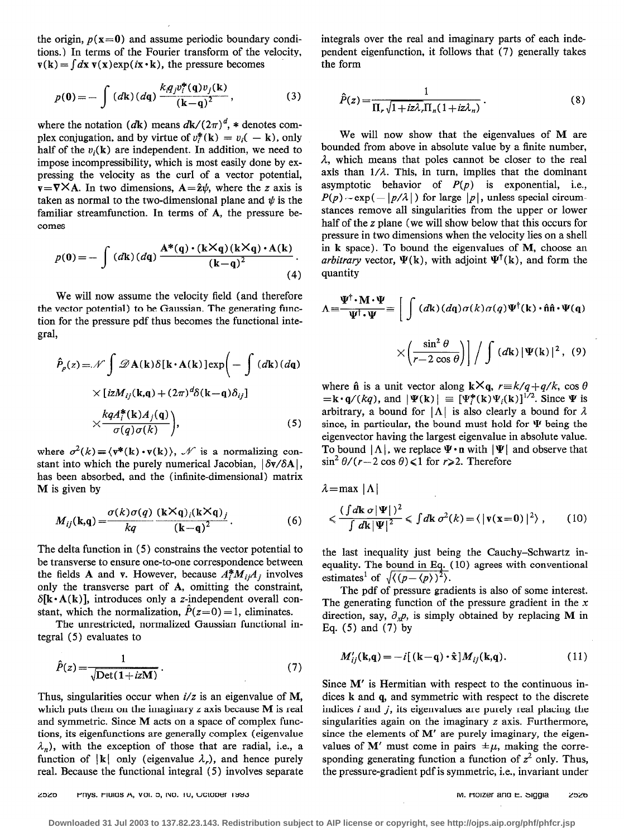the origin,  $p(x=0)$  and assume periodic boundary conditions.) In terms of the Fourier transform of the velocity,  $\mathbf{v}(\mathbf{k}) = \int d\mathbf{x} \mathbf{v}(\mathbf{x}) \exp(i\mathbf{x} \cdot \mathbf{k})$ , the pressure becomes

$$
p(0) = -\int (d\mathbf{k}) (d\mathbf{q}) \frac{k_{i}q_{j}v_{i}^{*}(\mathbf{q})v_{j}(\mathbf{k})}{(\mathbf{k}-\mathbf{q})^{2}},
$$
 (3)

where the notation (dk) means  $d\mathbf{k}/(2\pi)^d$ , \* denotes complex conjugation, and by virtue of  $v_i^*(\mathbf{k}) = v_i(-\mathbf{k})$ , only half of the  $v_i(\mathbf{k})$  are independent. In addition, we need to impose incompressibility, which is most easily done by expressing the velocity as the curl of a vector potential,  $v = \nabla \times A$ . In two dimensions,  $A = \hat{z}\psi$ , where the z axis is taken as normal to the two-dimensional plane and  $\psi$  is the familiar streamfunction. In terms of A, the pressure becomes

$$
p(0) = -\int (d\mathbf{k}) (d\mathbf{q}) \frac{\mathbf{A}^*(\mathbf{q}) \cdot (\mathbf{k} \times \mathbf{q}) (\mathbf{k} \times \mathbf{q}) \cdot \mathbf{A}(\mathbf{k})}{(\mathbf{k} - \mathbf{q})^2}.
$$
\n(4)

We will now assume the velocity field (and therefore the vector potential) to be Gaussian. The generating function for the pressure pdf thus becomes the functional integral,

$$
\hat{P}_\rho(z) = \mathcal{N} \int \mathcal{D} \mathbf{A}(\mathbf{k}) \delta[\mathbf{k} \cdot \mathbf{A}(\mathbf{k})] \exp\left(-\int (d\mathbf{k}) (d\mathbf{q})\right)
$$

$$
\times [i z M_{ij}(\mathbf{k}, \mathbf{q}) + (2\pi)^d \delta(\mathbf{k} - \mathbf{q}) \delta_{ij}]
$$

$$
\times \frac{k q A_i^*(\mathbf{k}) A_j(\mathbf{q})}{\sigma(q) \sigma(k)}\Big), \tag{5}
$$

where  $\sigma^2(k) = \langle v^*(k) \cdot v(k) \rangle$ ,  $\mathcal N$  is a normalizing constant into which the purely numerical Jacobian,  $|\delta v/\delta A|$ , has been absorbed, and the (infinite-dimensional) matrix M is given by

$$
M_{ij}(\mathbf{k},\mathbf{q}) = \frac{\sigma(k)\sigma(q)}{kq} \frac{(\mathbf{k} \times \mathbf{q})_i(\mathbf{k} \times \mathbf{q})_j}{(\mathbf{k}-\mathbf{q})^2}.
$$
 (6)

The delta function in (5) constrains the vector potential to be transverse to ensure one-to-one correspondence between the fields A and v. However, because  $A_i^* M_{i} A_j$  involves only the transverse part of A, omitting the constraint,  $\delta[k \cdot A(k)]$ , introduces only a z-independent overall constant, which the normalization,  $\hat{P}(z=0) = 1$ , eliminates.

The unrestricted, normalized Gaussian functional integral (5) evaluates to

$$
\hat{P}(z) = \frac{1}{\sqrt{\text{Det}(1 + izM)}}.
$$
\n(7)

Thus, singularities occur when  $i/z$  is an eigenvalue of M, which puts them on the imaginary  $z$  axis because  $M$  is real and symmetric. Since M acts on a space of complex functions, its eigenfunctions are generally complex (eigenvalue  $\lambda_n$ ), with the exception of those that are radial, i.e., a function of  $|k|$  only (eigenvalue  $\lambda<sub>r</sub>$ ), and hence purely real. Because the functional integral (5) involves separate integrals over the real and imaginary parts of each independent eigenfunction, it follows that (7) generally takes the form

$$
\hat{P}(z) = \frac{1}{\Pi_r \sqrt{1 + iz\lambda_r \Pi_n (1 + iz\lambda_n)}}.
$$
\n(8)

We will now show that the eigenvalues of M are bounded from above in absolute value by a finite number,  $\lambda$ , which means that poles cannot be closer to the real axis than  $1/\lambda$ . This, in turn, implies that the dominant asymptotic behavior of  $P(p)$  is exponential, i.e.,  $P(p) \sim \exp(-|p/\lambda|)$  for large  $|p|$ , unless special circumstances remove all singularities from the upper or lower half of the z plane (we will show below that this occurs for pressure in two dimensions when the velocity lies on a shell in k space). To bound the eigenvalues of M, choose an arbitrary vector,  $\Psi(\mathbf{k})$ , with adjoint  $\Psi^{\dagger}(\mathbf{k})$ , and form the quantity

$$
\Lambda = \frac{\Psi^{\dagger} \cdot \mathbf{M} \cdot \Psi}{\Psi^{\dagger} \cdot \Psi} = \left[ \int (d\mathbf{k}) (d\mathbf{q}) \sigma(k) \sigma(q) \Psi^{\dagger}(\mathbf{k}) \cdot \hat{\mathbf{n}} \hat{\mathbf{n}} \cdot \Psi(\mathbf{q}) \right]
$$

$$
\times \left( \frac{\sin^2 \theta}{r - 2 \cos \theta} \right) / \int (d\mathbf{k}) |\Psi(\mathbf{k})|^2, (9)
$$

where  $\hat{\mathbf{n}}$  is a unit vector along  $\mathbf{k} \times \mathbf{q}$ ,  $r = k/q + q/k$ , cos  $\theta$  $=\mathbf{k} \cdot \mathbf{q}/(kq)$ , and  $|\Psi(\mathbf{k})| = [\Psi_i^*(\mathbf{k}) \Psi_i(\mathbf{k})]^{1/2}$ . Since  $\Psi$  is arbitrary, a bound for  $|\Lambda|$  is also clearly a bound for  $\lambda$ since, in particular, the bound must hold for  $\Psi$  being the eigenvector having the largest eigenvalue in absolute value. To bound  $|\Lambda|$ , we replace  $\Psi \cdot \mathbf{n}$  with  $|\Psi|$  and observe that  $\sin^2 \theta / (r - 2 \cos \theta) \leq 1$  for  $r \geq 2$ . Therefore

 $\lambda$ =max | $\Lambda$ |

$$
\langle \frac{\int dk \, \sigma |\Psi| \, \mathrm{d}^2}{\int dk |\Psi|^2} \langle \int dk \, \sigma^2(k) = \langle |\mathbf{v}(\mathbf{x} = 0)|^2 \rangle \;, \qquad (10)
$$

the last inequality just being the Cauchy-Schwartz inequality. The bound in Eq. (10) agrees with conventional estimates<sup>1</sup> of  $\sqrt{\langle (p-\langle p \rangle)^2 \rangle}$ .

The pdf of pressure gradients is also of some interest. The generating function of the pressure gradient in the  $x$ direction, say,  $\partial_x p$ , is simply obtained by replacing M in Eq. (5) and (7) by

$$
M'_{ij}(\mathbf{k}, \mathbf{q}) = -i[(\mathbf{k} - \mathbf{q}) \cdot \hat{\mathbf{x}}] M_{ij}(\mathbf{k}, \mathbf{q}).
$$
 (11)

Since M' is Hermitian with respect to the continuous indices k and q, and symmetric with respect to the discrete indices  $i$  and  $j$ , its eigenvalues are purely real placing the singularities again on the imaginary z axis. Furthermore, since the elements of  $M'$  are purely imaginary, the eigenvalues of M' must come in pairs  $\pm \mu$ , making the corresponding generating function a function of  $z^2$  only. Thus, the pressure-gradient pdf is symmetric, i.e., invariant under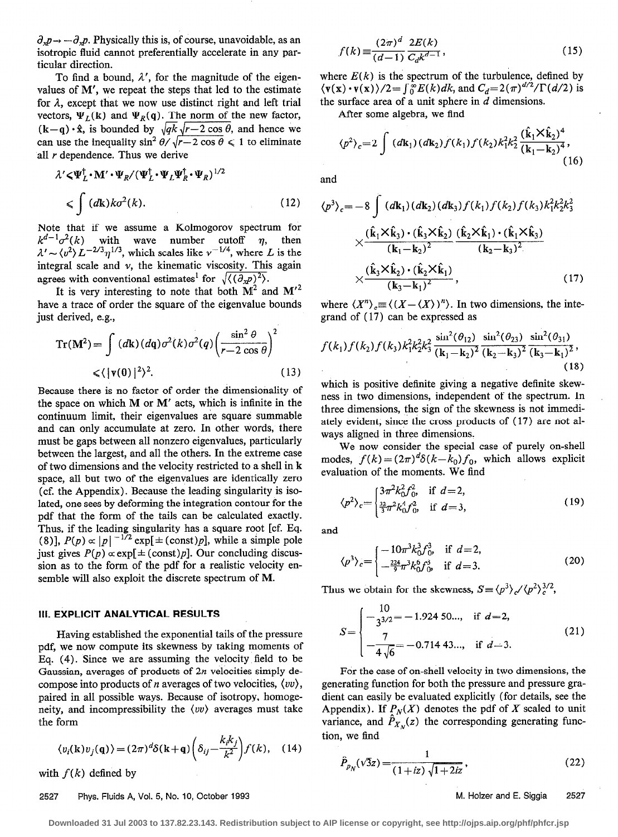$\partial_x p \rightarrow -\partial_x p$ . Physically this is, of course, unavoidable, as an isotropic fluid cannot preferentially accelerate in any particular direction.

To find a bound,  $\lambda'$ , for the magnitude of the eigenvalues of M', we repeat the steps that led to the estimate for  $\lambda$ , except that we now use distinct right and left trial vectors,  $\Psi_L(\mathbf{k})$  and  $\Psi_R(\mathbf{q})$ . The norm of the new factor,  $(k-q) \cdot \hat{x}$ , is bounded by  $\sqrt{qk} \sqrt{r-2 \cos \theta}$ , and hence we can use the inequality  $\sin^2 \theta / \sqrt{r-2 \cos \theta} \le 1$  to eliminate all *r* dependence. Thus we derive

$$
\lambda' \langle \Psi_L^{\dagger} \cdot \mathbf{M}' \cdot \Psi_R / (\Psi_L^{\dagger} \cdot \Psi_L \Psi_R^{\dagger} \cdot \Psi_R)^{1/2}
$$
\n
$$
\langle \int (d\mathbf{k}) k \sigma^2(k). \tag{12}
$$

Note that if we assume a Kolmogorov spectrum for  $k^{a-1}\sigma^2(k)$  with wave number cutoff  $\eta$ , then  $\lambda' \sim \langle v^2 \rangle L^{-2/3} \eta^{1/3}$ , which scales like  $\nu^{-1/4}$ , where L is the integral scale and  $\nu$ , the kinematic viscosity. This again agrees with conventional estimates<sup>1</sup> for  $\sqrt{\langle (\partial_x p)^2 \rangle}$ .

It is very interesting to note that both  $M^2$  and  $M'^2$ have a trace of order the square of the eigenvalue bounds just derived, e.g.,

$$
\operatorname{Tr}(\mathbf{M}^2) = \int (d\mathbf{k}) (d\mathbf{q}) \sigma^2(k) \sigma^2(q) \left( \frac{\sin^2 \theta}{r - 2 \cos \theta} \right)^2
$$
  

$$
\langle |\mathbf{v}(0)|^2 \rangle^2.
$$
 (13)

Because there is no factor of order the dimensionality of the space on which M or M' acts, which is infinite in the continuum limit, their eigenvalues are square summable and can only accumulate at zero. In other words, there must be gaps between all nonzero eigenvalues, particularly between the largest, and all the others. In the extreme case of two dimensions and the velocity restricted to a shell in k space, all but two of the eigenvalues are identically zero (cf. the Appendix). Because the leading singularity is isolated, one sees by deforming the integration contour for the pdf that the form of the tails can be calculated exactly. Thus, if the leading singularity has a square root [cf. Eq. (8)],  $P(p) \propto |p|^{-1/2} \exp[\pm (\text{const})p]$ , while a simple pole just gives  $P(p) \propto \exp[\pm (\text{const})p]$ . Our concluding discussion as to the form of the pdf for a realistic velocity ensemble will also exploit the discrete spectrum of M.

#### III. EXPLICIT ANALYTICAL RESULTS

Having established the exponential tails of the pressure pdf, we now compute its skewness by taking moments of Eq. (4). Since we are assuming the velocity field to be Gaussian, averages of products of 2n velocities simply decompose into products of *n* averages of two velocities,  $\langle \nu \nu \rangle$ , paired in all possible ways. Because of isotropy, homogeneity, and incompressibility the  $\langle vv \rangle$  averages must take the form

$$
\langle v_i(\mathbf{k})v_j(\mathbf{q})\rangle = (2\pi)^d \delta(\mathbf{k}+\mathbf{q}) \left(\delta_{ij} - \frac{k_i k_j}{k^2}\right) f(k), \quad (14)
$$

with  $f(k)$  defined by

#### 2527 Phys. Fluids A, Vol. 5, No. 10, October 1993 M. Holzer and E. Siggia 2527

$$
f(k) \equiv \frac{(2\pi)^d}{(d-1)} \frac{2E(k)}{C_d k^{d-1}},
$$
\n(15)

where  $E(k)$  is the spectrum of the turbulence, defined by  $\langle \mathbf{v}(\mathbf{x}) \cdot \mathbf{v}(\mathbf{x}) \rangle / 2 = \int_{0}^{\infty} E(k)dk$ , and  $C_d = 2(\pi)^{d/2}/\Gamma(d/2)$  is the surface area of a unit sphere in  $d$  dimensions.

After some algebra, we find

$$
\langle p^2 \rangle_c = 2 \int (d\mathbf{k}_1) (d\mathbf{k}_2) f(k_1) f(k_2) k_1^2 k_2^2 \frac{(\hat{\mathbf{k}}_1 \times \hat{\mathbf{k}}_2)^4}{(\mathbf{k}_1 - \mathbf{k}_2)^4},
$$
\n(16)

and

$$
\langle p^{3} \rangle_{c} = -8 \int (d\mathbf{k}_{1})(d\mathbf{k}_{2})(d\mathbf{k}_{3}) f(k_{1}) f(k_{2}) f(k_{3}) k_{1}^{2} k_{2}^{2} k_{3}^{2}
$$
  

$$
\times \frac{(\hat{\mathbf{k}}_{1} \times \hat{\mathbf{k}}_{3}) \cdot (\hat{\mathbf{k}}_{3} \times \hat{\mathbf{k}}_{2})}{(k_{1} - k_{2})^{2}} \frac{(\hat{\mathbf{k}}_{2} \times \hat{\mathbf{k}}_{1}) \cdot (\hat{\mathbf{k}}_{1} \times \hat{\mathbf{k}}_{3})}{(k_{2} - k_{3})^{2}}
$$
  

$$
\times \frac{(\hat{\mathbf{k}}_{3} \times \hat{\mathbf{k}}_{2}) \cdot (\hat{\mathbf{k}}_{2} \times \hat{\mathbf{k}}_{1})}{(k_{3} - k_{1})^{2}},
$$
(17)

where  $\langle X^n \rangle \equiv \langle (X - \langle X \rangle)^n \rangle$ . In two dimensions, the integrand of ( 17) can be expressed as

$$
f(k_1)f(k_2)f(k_3)k_1^2k_2^2k_3^2\frac{\sin^2(\theta_{12})}{(\mathbf{k}_1-\mathbf{k}_2)^2}\frac{\sin^2(\theta_{23})}{(\mathbf{k}_2-\mathbf{k}_3)^2}\frac{\sin^2(\theta_{31})}{(\mathbf{k}_3-\mathbf{k}_1)^2},\tag{18}
$$

which is positive definite giving a negative definite skewness in two dimensions, independent of the spectrum. In three dimensions, the sign of the skewness is not immediately evident, since the cross products of ( 17) are not always aligned in three dimensions.

We now consider the special case of purely on-shell modes,  $f(k) = (2\pi)^d \delta(k - k_0) f_0$ , which allows explicit evaluation of the moments. We find

$$
\langle p^2 \rangle_c = \begin{cases} 3\pi^2 k_0^2 f_0^2, & \text{if } d = 2, \\ \frac{32}{3}\pi^2 k_0^4 f_0^2, & \text{if } d = 3, \end{cases}
$$
 (19)

and

$$
\langle p^3 \rangle_c = \begin{cases} -10\pi^3 k_0^3 f_0^3 & \text{if } d=2, \\ -\frac{224}{3}\pi^3 k_0^6 f_0^3 & \text{if } d=3. \end{cases}
$$
 (20)

Thus we obtain for the skewness,  $S = \langle p^3 \rangle_c / \langle p^2 \rangle_c^{3/2}$ ,

$$
S = \begin{cases} -\frac{10}{3^{3/2}} = -1.924 \text{ 50...}, & \text{if } d = 2, \\ -\frac{7}{4\sqrt{6}} = -0.714 \text{ 43...}, & \text{if } d = 3. \end{cases}
$$
(21)

For the case of on-shell velocity in two dimensions, the generating function for both the pressure and pressure gradient can easily be evaluated explicitly (for details, see the Appendix). If  $P_N(X)$  denotes the pdf of X scaled to unit variance, and  $\ddot{P}_{X_N}(z)$  the corresponding generating function, we find

$$
\hat{P}_{p_N}(\sqrt{3}z) = \frac{1}{(1+iz)\sqrt{1+2iz}},
$$
\n(22)

**Downloaded 31 Jul 2003 to 137.82.23.143. Redistribution subject to AIP license or copyright, see http://ojps.aip.org/phf/phfcr.jsp**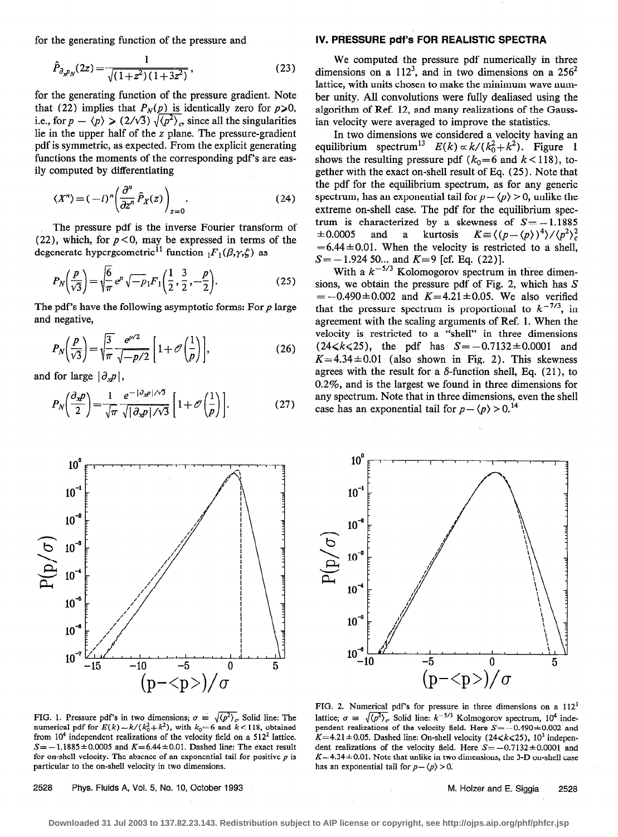$$
\hat{P}_{\partial_{x}P_{N}}(2z) = \frac{1}{\sqrt{(1+z^2)(1+3z^2)}},\tag{23}
$$

for the generating function of the pressure gradient. Note that (22) implies that  $P_N(p)$  is identically zero for  $p\ge 0$ , i.e., for  $p - \langle p \rangle \ge (2/\sqrt{3}) \sqrt{\langle p^2 \rangle_c}$  since all the singularities lie in the upper half of the z plane. The pressure-gradient pdf is symmetric, as expected. From the explicit generating functions the moments of the corresponding pdf's are easily computed by differentiating

$$
\langle X^n \rangle = (-i)^n \left( \frac{\partial^n}{\partial z^n} \hat{P}_X(z) \right)_{z=0}.
$$
 (24)

The pressure pdf is the inverse Fourier transform of (22), which, for  $p < 0$ , may be expressed in terms of the degenerate hypergeometric<sup>11</sup> function  $_1F_1(\beta,\gamma,\zeta)$  as

$$
P_N\left(\frac{p}{\sqrt{3}}\right) = \sqrt{\frac{6}{\pi}} e^p \sqrt{-p_1} F_1\left(\frac{1}{2}, \frac{3}{2}, -\frac{p}{2}\right). \tag{25}
$$

The pdf's have the following asymptotic forms: For  $p$  large and negative,

$$
P_N\left(\frac{p}{\sqrt{3}}\right) = \sqrt{\frac{3}{\pi}} \frac{e^{p/2}}{\sqrt{-p/2}} \left[1 + \mathcal{O}\left(\frac{1}{p}\right)\right],\tag{26}
$$

and for large  $|\partial_x p|$ ,

$$
P_N\left(\frac{\partial_x p}{2}\right) = \frac{1}{\sqrt{\pi}} \frac{e^{-|\partial_x p|/\sqrt{3}}}{\sqrt{|\partial_x p|/\sqrt{3}}} \left[1 + \mathcal{O}\left(\frac{1}{p}\right)\right].\tag{27}
$$



#### for the generating function of the pressure and IV. PRESSURE pdf's FOR REALISTIC SPECTRA

We computed the pressure pdf numerically in three dimensions on a  $112<sup>3</sup>$ , and in two dimensions on a  $256<sup>2</sup>$ lattice, with units chosen to make the minimum wave number unity. All convolutions were fully dealiased using the algorithm of Ref. 12, and many realizations of the Gaussian velocity were averaged to improve the statistics.

In two dimensions we considered a velocity having an equilibrium spectrum<sup>13</sup>  $E(k) \propto k/(k_0^2 + k^2)$ . Figure 1 shows the resulting pressure pdf ( $k_0=6$  and  $k < 118$ ), together with the exact on-shell result of Eq. (25). Note that the pdf for the equilibrium spectrum, as for any generic spectrum, has an exponential tail for  $p - \langle p \rangle > 0$ , unlike the extreme on-shell case. The pdf for the equilibrium spectrum is characterized by a skewness of  $S = -1.1885$  $\pm 0.0005$  and a kurtosis  $K = \langle (p - \langle p \rangle)^4 \rangle / \langle p^2 \rangle_c^2$  $=6.44\pm0.01$ . When the velocity is restricted to a shell,  $S = -1.924$  50... and  $K=9$  [cf. Eq. (22)].

With a  $k^{-5/3}$  Kolomogorov spectrum in three dimensions, we obtain the pressure pdf of Fig. 2, which has  $S$  $= -0.490 \pm 0.002$  and  $K=4.21 \pm 0.05$ . We also verified that the pressure spectrum is proportional to  $k^{-7/3}$ , in agreement with the scaling arguments of Ref. 1. When the velocity is restricted to a "shell" in three dimensions  $(24\le k \le 25)$ , the pdf has  $S = -0.7132 \pm 0.0001$  and  $K=4.34\pm0.01$  (also shown in Fig. 2). This skewness agrees with the result for a  $\delta$ -function shell, Eq. (21), to 0.2%, and is the largest we found in three dimensions for any spectrum. Note that in three dimensions, even the shell case has an exponential tail for  $p - \langle p \rangle > 0$ .<sup>14</sup>



FIG. 1. Pressure pdf's in two dimensions;  $\sigma = \sqrt{\langle p^2 \rangle_c}$ . Solid line: The numerical pdf for  $E(k) \sim k/(k_0^2 + k^2)$ , with  $k_0 = 6$  and  $k < 118$ , obtained from  $10<sup>4</sup>$  independent realizations of the velocity field on a 512<sup>2</sup> lattice.  $S=-1.1885\pm0.0005$  and  $K=6.44\pm0.01$ . Dashed line: The exact result for on-shell velocity. The absence of an exponential tail for positive  $p$  is particular to the on-shell velocity in two dimensions.

2528 Phys. Fluids A, Vol. 5, No. 10, October 1993 M. Holzer and E. Siggia 2528

FIG. 2. Numerical pdf's for pressure in three dimensions on a 1123 lattice;  $\sigma = \sqrt{\langle p^2 \rangle_c}$  Solid line:  $k^{-5/3}$  Kolmogorov spectrum, 10<sup>4</sup> independent realizations of the velocity field. Here  $S = -0.490 \pm 0.002$  and  $K=4.21 \pm 0.05$ . Dashed line: On-shell velocity (24 < k < 25), 10<sup>3</sup> independent realizations of the velocity field. Here  $S = -0.7132 \pm 0.0001$  and  $K=4.34\pm0.01$ . Note that unlike in two dimensions, the 3-D on-shell case has an exponential tail for  $p - \langle p \rangle > 0$ .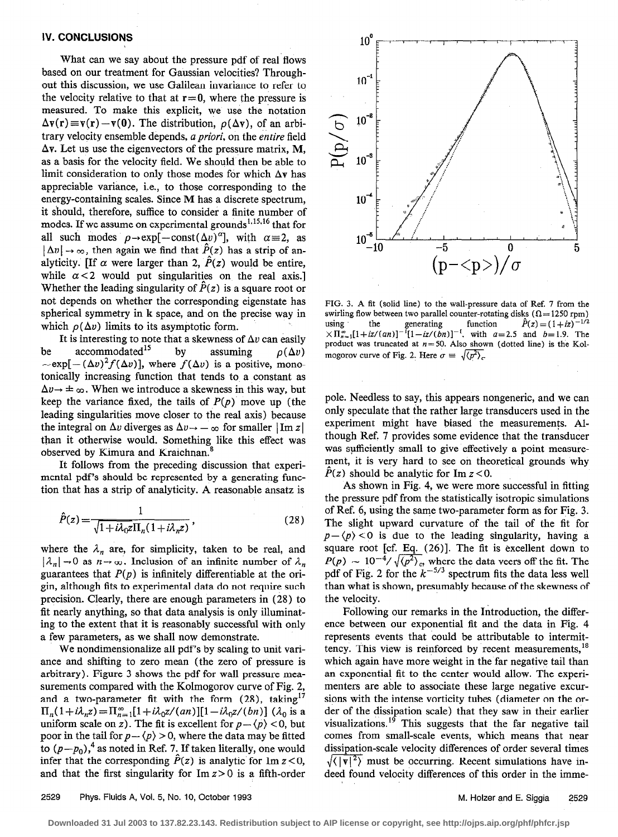# IV. CONCLUSIONS

What can we say about the pressure pdf of real flows based on our treatment for Gaussian velocities? Throughout this discussion, we use Galilean invariance to refer to the velocity relative to that at  $r=0$ , where the pressure is measured. To make this explicit, we use the notation  $\Delta v(r) \equiv v(r) - v(0)$ . The distribution,  $\rho(\Delta v)$ , of an arbitrary velocity ensemble depends, a priori, on the entire field  $\Delta v$ . Let us use the eigenvectors of the pressure matrix, M, as a basis for the velocity field. We should then be able to limit consideration to only those modes for which  $\Delta y$  has appreciable variance, i.e., to those corresponding to the energy-containing scales. Since M has a discrete spectrum, it should, therefore, suffice to consider a finite number of modes. If we assume on experimental grounds<sup>1,15,16</sup> that for all such modes  $\rho \rightarrow \exp[-\text{const}(\Delta v)^{\alpha}]$ , with  $\alpha = 2$ , as  $|\Delta v| \rightarrow \infty$ , then again we find that  $\hat{P}(z)$  has a strip of analyticity. [If  $\alpha$  were larger than 2,  $\hat{P}(z)$  would be entire, while  $\alpha$  < 2 would put singularities on the real axis.] Whether the leading singularity of  $\hat{P}(z)$  is a square root or not depends on whether the corresponding eigenstate has spherical symmetry in k space, and on the precise way in which  $\rho(\Delta v)$  limits to its asymptotic form.

It is interesting to note that a skewness of  $\Delta v$  can easily be accommodated<sup>15</sup> by assuming  $\rho(\Delta v)$  $\sim \exp[-(\Delta v)^2 f(\Delta v)]$ , where  $f(\Delta v)$  is a positive, monotonically increasing function that tends to. a constant as  $\Delta v \rightarrow \pm \infty$ . When we introduce a skewness in this way, but keep the variance fixed, the tails of  $P(p)$  move up (the leading singularities move closer to the real axis) because the integral on  $\Delta v$  diverges as  $\Delta v \rightarrow -\infty$  for smaller  $|\text{Im } z|$ than it otherwise would. Something like this effect was observed by Kimura and Kraichnan.'

It follows from the preceding discussion that experimental pdf's should be represented by a generating function that has a strip of analyticity. A reasonable ansatz is

$$
\hat{P}(z) = \frac{1}{\sqrt{1 + i\lambda_0 z} \Pi_n (1 + i\lambda_n z)},
$$
\n(28)

where the  $\lambda_n$  are, for simplicity, taken to be real, and  $|\lambda_n| \to 0$  as  $n \to \infty$ . Inclusion of an infinite number of  $\lambda_n$ guarantees that  $P(p)$  is infinitely differentiable at the origin, although fits to experimental data do not require such precision. Clearly, there are enough parameters in (28) to fit nearly anything, so that data analysis is only illuminating to the extent that it is reasonably successful with only a few parameters, as we shall now demonstrate.

We nondimensionalize all pdf's by scaling to unit variance and shifting to zero mean (the zero of pressure is arbitrary). Figure 3 shows the pdf for wall pressure measurements compared with the Kolmogorov curve of Fig. 2, and a two-parameter fit with the form  $(28)$ , taking<sup>17</sup>  $\Pi_n(1+i\lambda_n z) = \prod_{n=1}^{\infty} [1+i\lambda_0 z/(an)][1-i\lambda_0 z/(bn)]$  ( $\lambda_0$  is a uniform scale on z). The fit is excellent for  $p - \langle p \rangle < 0$ , but poor in the tail for  $p - \langle p \rangle > 0$ , where the data may be fitted to  $(p - p_0)$ ,<sup>4</sup> as noted in Ref. 7. If taken literally, one would infer that the corresponding  $\ddot{P}(z)$  is analytic for Im  $z < 0$ , and that the first singularity for  $Im z > 0$  is a fifth-order



FIG. 3. A fit (solid line) to the wall-pressure data of Ref. 7 from the swirling flow between two parallel counter-rotating disks ( $\Omega = 1250$  rpm) using the generating function  $P(z)=(1+i\sqrt{z})$  $(\times \Pi_{n=1}^{\infty}[1+iz/(an)]^{-1}[1-iz/(bn)]^{-1}$ , with a=2.5 and b=1.9. The product was truncated at  $n=50$ . Also shown (dotted line) is the Kolmogorov curve of Fig. 2. Here  $\sigma = \sqrt{\langle p^2 \rangle_c}$ .

pole. Needless to say, this appears nongeneric, and we can only speculate that the rather large transducers used in the experiment might have biased the measurements. Although Ref. 7 provides some evidence that the transducer was sufficiently small to give effectively a point measurement, it is very hard to see on theoretical grounds why  $P(z)$  should be analytic for Im  $z < 0$ .

As shown in Fig. 4, we were more successful in fitting the pressure pdf from the statistically isotropic simulations of Ref. 6, using the same two-parameter form as for Fig. 3. The slight upward curvature of the tail of the fit for  $p - \langle p \rangle < 0$  is due to the leading singularity, having a square root [cf. Eq. (26)]. The fit is excellent down to  $P(p) \sim 10^{-4} / \sqrt{\langle p^2 \rangle}_c$ , where the data veers off the fit. The pdf of Fig. 2 for the  $k^{-3/3}$  spectrum fits the data less well than what is shown, presumably because of the skewness of the velocity.

Following our remarks in the Introduction, the difference between our exponential fit and the data in Fig. 4 represents events that could be attributable to intermittency. This view is reinforced by recent measurements,  $18$ which again have more weight in the far negative tail than an exponential fit to the center would allow. The experimenters are able to associate these large negative excursions with the intense vorticity tubes (diameter on the order of the dissipation scale) that they saw in their earlier visualizations.<sup>19</sup> This suggests that the far negative tail comes from small-scale events, which means that near dissipation-scale velocity differences of order several times  $\sqrt{\langle |\mathbf{v}|^2 \rangle}$  must be occurring. Recent simulations have indeed found velocity differences of this order in the imme-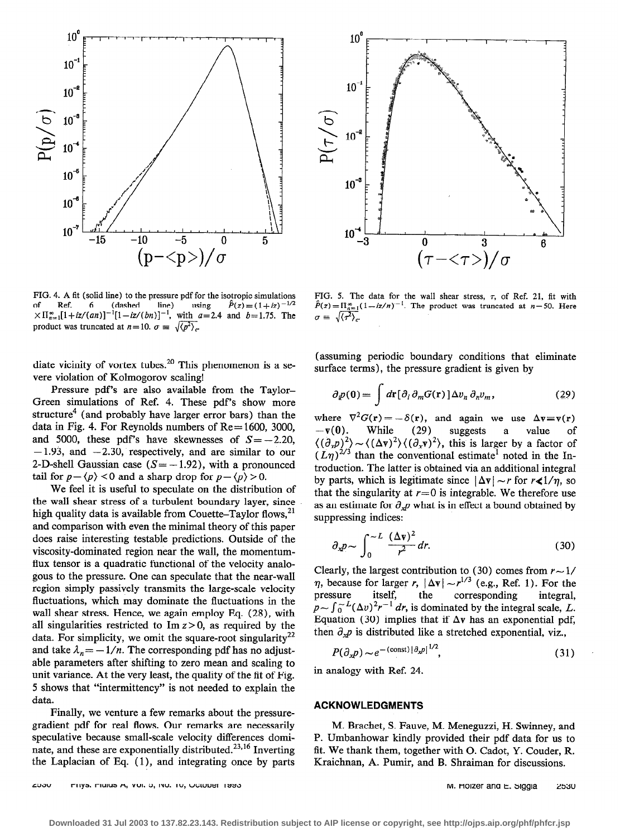

FIG. 4. A fit (solid line) to the pressure pdf for the isotropic simulations of Ref. 6 (dashed line) using  $\hat{P}(z) = (1 + iz)^{-1/2}$ of Ref. 6 (dashed  $\ddot{P}(z) = (1+iz)^{-1/2}$  $\times$ II $_{n=1}^{8}$ [1+iz/(an)]<sup>-1</sup>[1-iz/(bn)]<sup>-1</sup>, with a=2.4 and b=1.75. The product was truncated at  $n = 10$ .  $\sigma = \sqrt{\langle p^2 \rangle_c}$ .

diate vicinity of vortex tubes.<sup>20</sup> This phenomenon is a severe violation of Kolmogorov scaling!

Pressure pdf's are also available from the Taylor-Green simulations of Ref. 4. These pdf's show more structure<sup>4</sup> (and probably have larger error bars) than the data in Fig. 4. For Reynolds numbers of  $Re = 1600$ , 3000, and 5000, these pdf's have skewnesses of  $S = -2.20$ ,  $-1.93$ , and  $-2.30$ , respectively, and are similar to our 2-D-shell Gaussian case  $(S = -1.92)$ , with a pronounced tail for  $p - \langle p \rangle < 0$  and a sharp drop for  $p - \langle p \rangle > 0$ .

We feel it is useful to speculate on the distribution of the wall shear stress of a turbulent boundary layer, since high quality data is available from Couette-Taylor flows, $^{21}$ and comparison with even the minimal theory of this paper does raise interesting testable predictions. Outside of the viscosity-dominated region near the wall, the momentumflux tensor is a quadratic functional of the velocity analogous to the pressure. One can speculate that the near-wall region simply passively transmits the large-scale velocity fluctuations, which may dominate the fluctuations in the wall shear stress. Hence, we again employ Eq. (28), with all singularities restricted to  $\text{Im } z > 0$ , as required by the data. For simplicity, we omit the square-root singularity<sup>22</sup> and take  $\lambda_n = -1/n$ . The corresponding pdf has no adjustable parameters after shifting to zero mean and scaling to unit variance. At the very least, the quality of the fit of Fig. 5 shows that "intermittency" is not needed to explain the data.

Finally, we venture a few remarks about the pressure-<br>gradient pdf for real flows. Our remarks are necessarily speculative because small-scale velocity differences dominate, and these are exponentially distributed.<sup>23,16</sup> Inverting the Laplacian of Eq. (1), and integrating once by parts Kraichnan, A. Pumir, and B. Shraiman for discussions.



FIG. 5. The data for the wall shear stress,  $\tau$ , of Ref. 21, fit with  $\hat{P}(z) = \prod_{n=1}^{\infty} (1 - iz/n)^{-1}$ . The product was truncated at  $n = 50$ . Here  $\sigma = \sqrt{\langle \tau^2 \rangle_c}$ 

(assuming periodic boundary conditions that eliminate surface terms), the pressure gradient is given by

$$
\partial_{i}p(\mathbf{0}) = \int d\mathbf{r} [\partial_i \partial_m G(\mathbf{r})] \Delta v_n \partial_n v_m, \qquad (29)
$$

where  $\nabla^2 G(\mathbf{r}) = -\delta(\mathbf{r})$ , and again we use  $\Delta \mathbf{v} \equiv \mathbf{v}(\mathbf{r})$ <br>- $\mathbf{v}(0)$ . While (29) suggests a value of  $-v(0)$ . While (29) suggests a value of  $\langle (\partial_x p)^2 \rangle \sim \langle (\Delta v)^2 \rangle \langle (\partial_x v)^2 \rangle$ , this is larger by a factor of  $(L\eta)^{2/3}$  than the conventional estimate noted in the Introduction. The latter is obtained via an additional integral by parts, which is legitimate since  $|\Delta v| \sim r$  for  $r \leq 1/n$ , so that the singularity at  $r=0$  is integrable. We therefore use as an estimate for  $\partial_x p$  what is in effect a bound obtained by suppressing indices:

$$
\partial_x p \sim \int_0^{\infty} \frac{(\Delta \mathbf{v})^2}{r^2} dr. \tag{30}
$$

Clearly, the largest contribution to (30) comes from  $r \sim 1/$  $\eta$ , because for larger r,  $|\Delta v| \sim r^{1/3}$  (e.g., Ref. 1). For the pressure itself, the corresponding  $p \sim \int_0^\infty$   $\mu(\Delta v)^2 r^{-1} dr$ , is dominated by the integral scale, L. integral, Equation (30) implies that if  $\Delta v$  has an exponential pdf, then  $\partial_x p$  is distributed like a stretched exponential, viz.,

$$
P(\partial_x p) \sim e^{-(\text{const})|\partial_x p|^{1/2}},\tag{31}
$$

in analogy with Ref. 24.

# ACKNOWLEDGMENTS

M. Brachet, S. Fauve, M. Meneguzzi, H. Swinney, and P. Umbanhowar kindly provided their pdf data for us to fit. We thank them, together with 0. Cadot, Y. Couder, R.

2530 Phys. Fluids A, Vol. 5, No. 10, October 1993 M. Holzer and E. Siggia 2530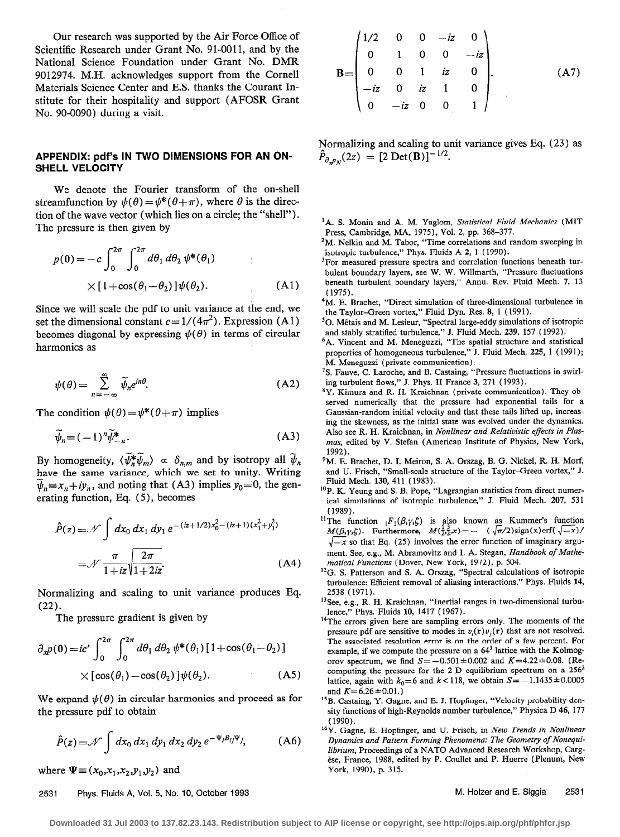Our research was supported by the Air Force Office of Scientific Research under Grant No. 91-0011, and by the National Science Foundation under Grant No. DMR 9012974. M.H. acknowledges support from the Cornell Materials Science Center and E.S. thanks the Courant Institute for their hospitality and support (AFOSR Grant No. 90-0090) during a visit.

## APPENDIX: pdf's IN TWO DIMENSIONS FOR AN ON-SHELL VELOCITY

We denote the Fourier transform of the on-shell streamfunction by  $\psi(\theta) = \psi^*(\theta + \pi)$ , where  $\theta$  is the direction of the wave vector (which lies on a circle; the "shell").

The pressure is then given by  
\n
$$
p(0) = -c \int_0^{2\pi} \int_0^{2\pi} d\theta_1 d\theta_2 \psi^*(\theta_1)
$$
\n
$$
\times [1 + \cos(\theta_1 - \theta_2)] \psi(\theta_2).
$$
\n(A1) (1975)

Since we will scale the pdf to unit variance at the end, we set the dimensional constant  $c = 1/(4\pi^2)$ . Expression (A1) becomes diagonal by expressing  $\psi(\theta)$  in terms of circular harmonics as

$$
\psi(\theta) = \sum_{n=-\infty}^{\infty} \widetilde{\psi}_n e^{in\theta}.
$$
 (A2)

The condition  $\psi(\theta) = \psi^*(\theta + \pi)$  implies

$$
\widetilde{\psi}_n = (-1)^n \widetilde{\psi}^*_{-n}.
$$
\n(A3)

By homogeneity,  $\langle \widetilde{\psi}_n^* \widetilde{\psi}_m \rangle \propto \delta_{n,m}$  and by isotropy all  $\widetilde{\psi}_n$ have the same variance, which we set to unity. Writing  $\widetilde{\psi}_n \equiv x_n + iy_n$ , and noting that (A3) implies  $y_0 = 0$ , the generating function, Eq. (5), becomes

$$
\hat{P}(z) = \mathcal{N} \int dx_0 dx_1 dy_1 e^{-(iz + 1/2)x_0^2 - (iz + 1)(x_1^2 + y_1^2)}
$$
  
=  $\mathcal{N} \frac{\pi}{1 + iz} \sqrt{\frac{2\pi}{1 + 2iz}}$  (A4)

Normalizing and scaling to unit variance produces Eq. (22).

The pressure gradient is given by

$$
\partial_x p(\mathbf{0}) = ic' \int_0^{2\pi} \int_0^{2\pi} d\theta_1 d\theta_2 \, \psi^*(\theta_1) \left[1 + \cos(\theta_1 - \theta_2)\right] \times \left[\cos(\theta_1) - \cos(\theta_2)\right] \psi(\theta_2). \tag{A5}
$$

We expand  $\psi(\theta)$  in circular harmonics and proceed as for

the pressure pdf to obtain  
\n
$$
\hat{P}(z) = \mathcal{N} \int dx_0 dx_1 dy_1 dx_2 dy_2 e^{-\Psi_i B_{ij}\Psi_j}, \qquad (A6)
$$

where  $\Psi = (x_0, x_1, x_2, y_1, y_2)$  and

## $\mathbf{R}$ =  $1/2$  0 0  $-iz$  0  $0 \t 1 \t 0 \t 0 \t -iz$  $0 \t 0 \t 1 \t iz \t 0$  $-iz$  0  $iz$  1 0  $0 -iz \quad 0 \quad 0 \quad 1$  $(A7)$

Normalizing and scaling to unit variance gives Eq. (23) as  $\ddot{P}_{\partial_{x}p_{N}}(2z) = [2 \text{ Det(B)}]^{-1/2}.$ 

- <sup>1</sup>A. S. Monin and A. M. Yaglom, Statistical Fluid Mechanics (MIT Press, Cambridge, MA, 1975), Vol. 2, pp. 368-377.
- <sup>2</sup>M. Nelkin and M. Tabor, "Time correlations and random sweeping in isotropic turbulence," Phys. Fluids A 2, 1 (1990).
- <sup>3</sup>For measured pressure spectra and correlation functions beneath turbulent boundary layers, see W. W. Willmarth, "Pressure fluctuations beneath turbulent boundary layers," Annu. Rev. Fluid Mech. 7, 13 (1975).
- <sup>4</sup>M. E. Brachet, "Direct simulation of three-dimensional turbulence in the Taylor-Green vortex," Fluid Dyn. Res. 8, 1 (1991).
- '0. Metais and M. Lesieur, "Spectral large-eddy simulations of isotropic and stably stratified turbulence," J. Fluid Mech. 239, 157 (1992).
- <sup>6</sup>A. Vincent and M. Meneguzzi, "The spatial structure and statistical properties of homogeneous turbulence," J. Fluid Mech. 225, 1 ( 1991); M. Meneguzzi (private communication).
- 'S. Fauve, C. Laroche, and B. Castaing, "Pressure fluctuations in swirling turbulent flows," J. Phys. II France 3, 271 (1993).
- $V^8Y$ . Kimura and R. H. Kraichnan (private communication). They observed numerically that the pressure had exponential tails for a Gaussian-random initial velocity and that these tails lifted up, increasing the skewness, as the initial state was evolved under the dynamics. Also see R. H. Kraichnan, in Nonlinear and Relativistic effects in Plasmas, edited by V. Stefan (American Institute of Physics, New York, 1992).
- <sup>9</sup>M. E. Brachet, D. I. Meiron, S. A. Orszag, B. G. Nickel, R. H. Morf, and U. Frisch, "Small-scale structure of the Taylor-Green vortex," J. Fluid Mech. 130, 411 (1983).
- <sup>10</sup>P. K. Yeung and S. B. Pope, "Lagrangian statistics from direct numerical simulations of isotropic turbulence," J. Fluid Mech. 207, 531 (1989).
- The function  $_1F_1(\beta,\gamma,6)$  is also known as Kummer's function  $M(\beta,\gamma,\zeta)$ . Furthermore,  $M(\bar{z},\bar{z},x)=-1$  ( $\sqrt{\pi/2}$ )sign(x)erf( $\sqrt{-x}$ )  $\sqrt{-x}$  so that Eq. (25) involves the error function of imaginary argument. See, e.g., M. Abramovitz and I. A. Stegan, Handbook of Mathematical Functions (Dover, New York, 1972), p. 504.
- <sup>12</sup>G. S. Patterson and S. A. Orszag, "Spectral calculations of isotropic turbulence: Efficient removal of aliasing interactions," Phys. Fluids 14, 2538 (1971).
- 13See, e.g., R. H. Kraichnan, "Inertial ranges in two-dimensional turbulence," Phys. Fluids 10, 1417 (1967).
- <sup>14</sup>The errors given here are sampling errors only. The moments of the pressure pdf are sensitive to modes in  $v_i(\mathbf{r})v_j(\mathbf{r})$  that are not resolved. The associated resolution error is on the order of a few percent. For example, if we compute the pressure on a 64' lattice with the Kolmogorov spectrum, we find  $S = -0.501 \pm 0.002$  and  $K = 4.22 \pm 0.08$ . (Recomputing the pressure for the 2-D equilibrium spectrum on a 256' lattice, again with  $k_0=6$  and  $k < 118$ , we obtain  $S=-1.1435\pm0.0005$ and  $K=6.26\pm0.01$ .)
- <sup>15</sup>B. Castaing, Y. Gagne, and E. J. Hopfinger, "Velocity probability density functions of high-Reynolds number turbulence," Physica D 46, 177 (1990).
- <sup>16</sup>Y. Gagne, E. Hopfinger, and U. Frisch, in New Trends in Nonlinear Dynamics and Pattern Forming Phenomena: The Geometry of Nonequilibrium, Proceedings of a NATO Advanced Research Workshop, Cargèse, France, 1988, edited by P. Coullet and P. Huerre (Plenum, New York, 1990), p. 315.

2531 Phys. Fluids A, Vol. 5, No. 10, October 1993 M. Holzer and E. Siggia 2531